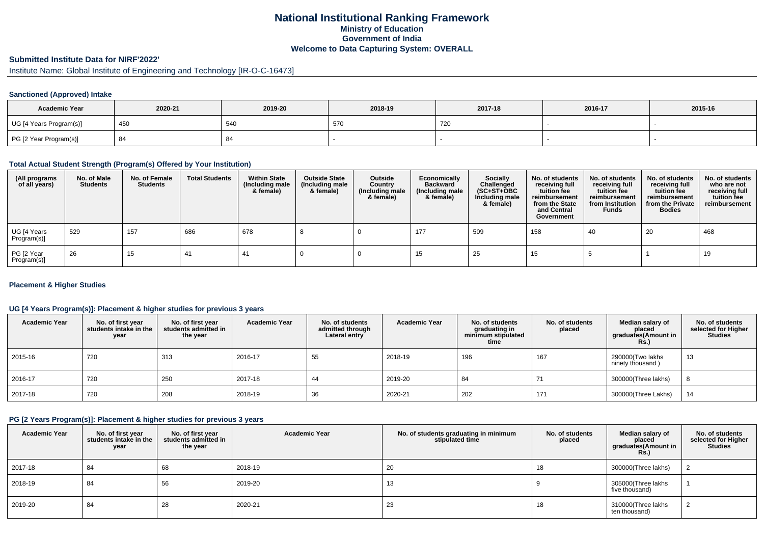## **National Institutional Ranking FrameworkMinistry of Education Government of IndiaWelcome to Data Capturing System: OVERALL**

# **Submitted Institute Data for NIRF'2022'**

# Institute Name: Global Institute of Engineering and Technology [IR-O-C-16473]

### **Sanctioned (Approved) Intake**

| <b>Academic Year</b>    | 2020-21 | 2019-20 | 2018-19       | 2017-18 | 2016-17 | 2015-16 |
|-------------------------|---------|---------|---------------|---------|---------|---------|
| UG [4 Years Program(s)] | 450     | 54C     | $-7t$<br>-570 | 720     |         |         |
| PG [2 Year Program(s)]  | 84      |         |               |         |         |         |

#### **Total Actual Student Strength (Program(s) Offered by Your Institution)**

| (All programs<br>of all years) | No. of Male<br><b>Students</b> | No. of Female<br><b>Students</b> | <b>Total Students</b> | <b>Within State</b><br>(Including male<br>& female) | <b>Outside State</b><br>(Including male<br>& female) | Outside<br>Country<br>(Including male<br>& female) | Economically<br><b>Backward</b><br>(Including male<br>& female) | <b>Socially</b><br>Challenged<br>$(SC+ST+OBC)$<br>Including male<br>& female) | No. of students<br>receiving full<br>tuition fee<br>reimbursement<br>from the State<br>and Central<br>Government | No. of students<br>receiving full<br>tuition fee<br>reimbursement<br>from Institution<br><b>Funds</b> | No. of students<br>receiving full<br>tuition fee<br>reimbursement<br>from the Private<br><b>Bodies</b> | No. of students<br>who are not<br>receiving full<br>tuition fee<br>reimbursement |
|--------------------------------|--------------------------------|----------------------------------|-----------------------|-----------------------------------------------------|------------------------------------------------------|----------------------------------------------------|-----------------------------------------------------------------|-------------------------------------------------------------------------------|------------------------------------------------------------------------------------------------------------------|-------------------------------------------------------------------------------------------------------|--------------------------------------------------------------------------------------------------------|----------------------------------------------------------------------------------|
| UG [4 Years<br>Program(s)]     | 529                            | 157                              | 686                   | 678                                                 |                                                      |                                                    | 177                                                             | 509                                                                           | 158                                                                                                              | 40                                                                                                    | 20                                                                                                     | 468                                                                              |
| PG [2 Year<br>Program(s)]      | 26                             | 15                               | 41                    | 41                                                  |                                                      |                                                    | 15                                                              | 25                                                                            | 15                                                                                                               |                                                                                                       |                                                                                                        | 19                                                                               |

### **Placement & Higher Studies**

### **UG [4 Years Program(s)]: Placement & higher studies for previous 3 years**

| <b>Academic Year</b> | No. of first year<br>students intake in the<br>year | No. of first vear<br>students admitted in<br>the year | <b>Academic Year</b> | No. of students<br>admitted through<br>Lateral entry | <b>Academic Year</b> | No. of students<br>graduating in<br>minimum stipulated<br>time | No. of students<br>placed | Median salary of<br>placed<br>graduates(Amount in<br><b>Rs.)</b> | No. of students<br>selected for Higher<br>Studies |
|----------------------|-----------------------------------------------------|-------------------------------------------------------|----------------------|------------------------------------------------------|----------------------|----------------------------------------------------------------|---------------------------|------------------------------------------------------------------|---------------------------------------------------|
| 2015-16              | 720                                                 | 313                                                   | 2016-17              | 55                                                   | 2018-19              | 196                                                            | 167                       | 290000(Two lakhs<br>ninety thousand)                             | 13                                                |
| 2016-17              | 720                                                 | 250                                                   | 2017-18              | 44                                                   | 2019-20              | 84                                                             | 71                        | 300000(Three lakhs)                                              |                                                   |
| 2017-18              | 720                                                 | 208                                                   | 2018-19              | 36                                                   | 2020-21              | 202                                                            | 171                       | 300000(Three Lakhs)                                              | 14                                                |

#### **PG [2 Years Program(s)]: Placement & higher studies for previous 3 years**

| <b>Academic Year</b> | No. of first year<br>students intake in the<br>year | No. of first year<br>students admitted in<br>the year | <b>Academic Year</b> | No. of students graduating in minimum<br>stipulated time | No. of students<br>placed | Median salary of<br>placed<br>graduates(Amount in<br><b>Rs.)</b> | No. of students<br>selected for Higher<br><b>Studies</b> |
|----------------------|-----------------------------------------------------|-------------------------------------------------------|----------------------|----------------------------------------------------------|---------------------------|------------------------------------------------------------------|----------------------------------------------------------|
| 2017-18              | 84                                                  | 68                                                    | 2018-19              | 20                                                       | 18                        | 300000(Three lakhs)                                              |                                                          |
| 2018-19              | 84                                                  | 56                                                    | 2019-20              | 13                                                       |                           | 305000(Three lakhs<br>five thousand)                             |                                                          |
| 2019-20              | 84                                                  | 28                                                    | 2020-21              | 23                                                       | 18                        | 310000(Three lakhs<br>ten thousand)                              |                                                          |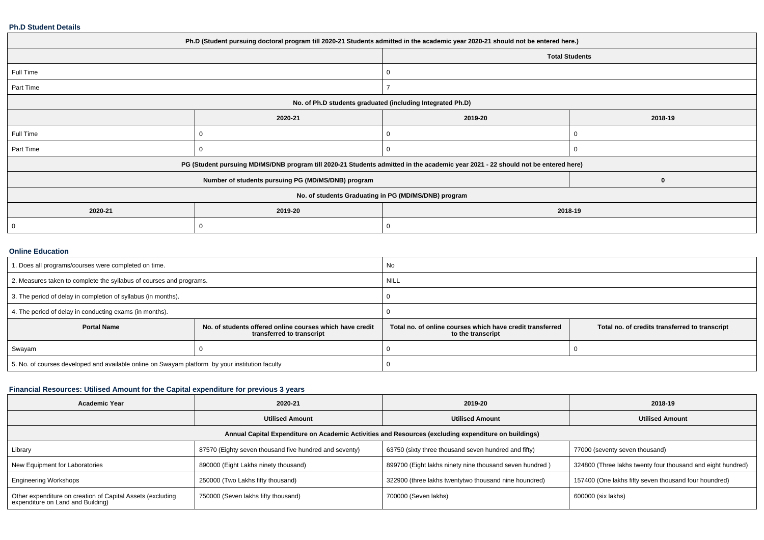### **Ph.D Student Details**

| Ph.D (Student pursuing doctoral program till 2020-21 Students admitted in the academic year 2020-21 should not be entered here.) |          |                                                                                                                                                           |  |  |  |  |
|----------------------------------------------------------------------------------------------------------------------------------|----------|-----------------------------------------------------------------------------------------------------------------------------------------------------------|--|--|--|--|
|                                                                                                                                  |          |                                                                                                                                                           |  |  |  |  |
|                                                                                                                                  |          |                                                                                                                                                           |  |  |  |  |
|                                                                                                                                  |          |                                                                                                                                                           |  |  |  |  |
| No. of Ph.D students graduated (including Integrated Ph.D)                                                                       |          |                                                                                                                                                           |  |  |  |  |
| 2020-21                                                                                                                          | 2019-20  | 2018-19                                                                                                                                                   |  |  |  |  |
|                                                                                                                                  | 0        |                                                                                                                                                           |  |  |  |  |
|                                                                                                                                  | 0        | O                                                                                                                                                         |  |  |  |  |
|                                                                                                                                  |          |                                                                                                                                                           |  |  |  |  |
| Number of students pursuing PG (MD/MS/DNB) program                                                                               |          | 0                                                                                                                                                         |  |  |  |  |
| No. of students Graduating in PG (MD/MS/DNB) program                                                                             |          |                                                                                                                                                           |  |  |  |  |
| 2019-20                                                                                                                          | 2018-19  |                                                                                                                                                           |  |  |  |  |
|                                                                                                                                  | $\Omega$ |                                                                                                                                                           |  |  |  |  |
|                                                                                                                                  |          | <b>Total Students</b><br>PG (Student pursuing MD/MS/DNB program till 2020-21 Students admitted in the academic year 2021 - 22 should not be entered here) |  |  |  |  |

### **Online Education**

| 1. Does all programs/courses were completed on time.                                            |                                                                                       | No                                                                             |                                                |  |
|-------------------------------------------------------------------------------------------------|---------------------------------------------------------------------------------------|--------------------------------------------------------------------------------|------------------------------------------------|--|
| 2. Measures taken to complete the syllabus of courses and programs.                             |                                                                                       | <b>NILL</b>                                                                    |                                                |  |
| 3. The period of delay in completion of syllabus (in months).                                   |                                                                                       |                                                                                |                                                |  |
| 4. The period of delay in conducting exams (in months).                                         |                                                                                       |                                                                                |                                                |  |
| <b>Portal Name</b>                                                                              | No. of students offered online courses which have credit<br>transferred to transcript | Total no, of online courses which have credit transferred<br>to the transcript | Total no. of credits transferred to transcript |  |
| Swayam                                                                                          |                                                                                       |                                                                                |                                                |  |
| 5. No. of courses developed and available online on Swayam platform by your institution faculty |                                                                                       |                                                                                |                                                |  |

### **Financial Resources: Utilised Amount for the Capital expenditure for previous 3 years**

| <b>Academic Year</b>                                                                                 | 2020-21                                                | 2019-20                                                 | 2018-19                                                     |  |  |  |  |
|------------------------------------------------------------------------------------------------------|--------------------------------------------------------|---------------------------------------------------------|-------------------------------------------------------------|--|--|--|--|
|                                                                                                      | <b>Utilised Amount</b>                                 | <b>Utilised Amount</b>                                  | <b>Utilised Amount</b>                                      |  |  |  |  |
| Annual Capital Expenditure on Academic Activities and Resources (excluding expenditure on buildings) |                                                        |                                                         |                                                             |  |  |  |  |
| Library                                                                                              | 87570 (Eighty seven thousand five hundred and seventy) | 63750 (sixty three thousand seven hundred and fifty)    | 77000 (seventy seven thousand)                              |  |  |  |  |
| New Equipment for Laboratories                                                                       | 890000 (Eight Lakhs ninety thousand)                   | 899700 (Eight lakhs ninety nine thousand seven hundred) | 324800 (Three lakhs twenty four thousand and eight hundred) |  |  |  |  |
| <b>Engineering Workshops</b>                                                                         | 250000 (Two Lakhs fifty thousand)                      | 322900 (three lakhs twentytwo thousand nine houndred)   | 157400 (One lakhs fifty seven thousand four houndred)       |  |  |  |  |
| Other expenditure on creation of Capital Assets (excluding<br>expenditure on Land and Building)      | 750000 (Seven lakhs fifty thousand)                    | 700000 (Seven lakhs)                                    | 600000 (six lakhs)                                          |  |  |  |  |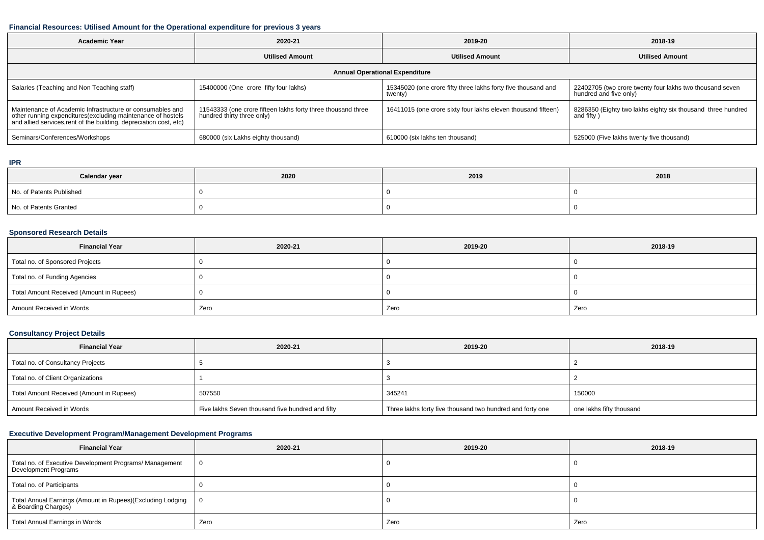## **Financial Resources: Utilised Amount for the Operational expenditure for previous 3 years**

| <b>Academic Year</b>                                                                                                                                                                           | 2020-21                                                                                    | 2019-20                                                                  | 2018-19                                                                            |  |  |  |  |
|------------------------------------------------------------------------------------------------------------------------------------------------------------------------------------------------|--------------------------------------------------------------------------------------------|--------------------------------------------------------------------------|------------------------------------------------------------------------------------|--|--|--|--|
|                                                                                                                                                                                                | <b>Utilised Amount</b>                                                                     | <b>Utilised Amount</b>                                                   | <b>Utilised Amount</b>                                                             |  |  |  |  |
| <b>Annual Operational Expenditure</b>                                                                                                                                                          |                                                                                            |                                                                          |                                                                                    |  |  |  |  |
| Salaries (Teaching and Non Teaching staff)                                                                                                                                                     | 15400000 (One crore fifty four lakhs)                                                      | 15345020 (one crore fifty three lakhs forty five thousand and<br>twenty) | 22402705 (two crore twenty four lakhs two thousand seven<br>hundred and five only) |  |  |  |  |
| Maintenance of Academic Infrastructure or consumables and<br>other running expenditures(excluding maintenance of hostels<br>and allied services, rent of the building, depreciation cost, etc) | 11543333 (one crore fifteen lakhs forty three thousand three<br>hundred thirty three only) | 16411015 (one crore sixty four lakhs eleven thousand fifteen)            | 8286350 (Eighty two lakhs eighty six thousand three hundred<br>and fifty)          |  |  |  |  |
| Seminars/Conferences/Workshops                                                                                                                                                                 | 680000 (six Lakhs eighty thousand)                                                         | 610000 (six lakhs ten thousand)                                          | 525000 (Five lakhs twenty five thousand)                                           |  |  |  |  |

#### **IPR**

| Calendar year            | 2020 | 2019 | 2018 |
|--------------------------|------|------|------|
| No. of Patents Published |      |      |      |
| No. of Patents Granted   |      |      |      |

### **Sponsored Research Details**

| <b>Financial Year</b>                    | 2020-21 | 2019-20 | 2018-19 |
|------------------------------------------|---------|---------|---------|
| Total no. of Sponsored Projects          |         |         |         |
| Total no. of Funding Agencies            |         |         |         |
| Total Amount Received (Amount in Rupees) |         |         |         |
| Amount Received in Words                 | Zero    | Zero    | Zero    |

## **Consultancy Project Details**

| <b>Financial Year</b>                    | 2020-21                                          | 2019-20                                                   | 2018-19                  |
|------------------------------------------|--------------------------------------------------|-----------------------------------------------------------|--------------------------|
| Total no. of Consultancy Projects        |                                                  |                                                           |                          |
| Total no. of Client Organizations        |                                                  |                                                           |                          |
| Total Amount Received (Amount in Rupees) | 507550                                           | 345241                                                    | 150000                   |
| Amount Received in Words                 | Five lakhs Seven thousand five hundred and fifty | Three lakhs forty five thousand two hundred and forty one | one lakhs fifty thousand |

## **Executive Development Program/Management Development Programs**

| <b>Financial Year</b>                                                             | 2020-21 | 2019-20 | 2018-19 |
|-----------------------------------------------------------------------------------|---------|---------|---------|
| Total no. of Executive Development Programs/ Management<br>Development Programs   | - 0     |         |         |
| Total no. of Participants                                                         |         |         |         |
| Total Annual Earnings (Amount in Rupees)(Excluding Lodging<br>& Boarding Charges) | - 0     |         |         |
| Total Annual Earnings in Words                                                    | Zero    | Zero    | Zero    |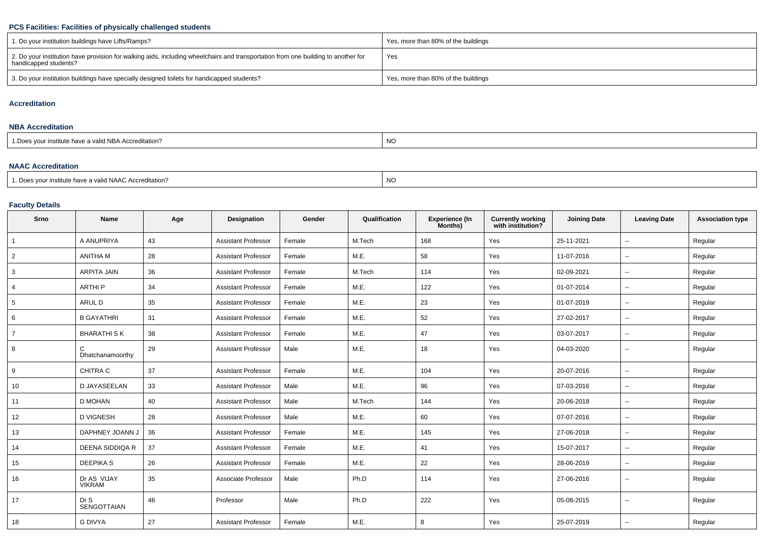## **PCS Facilities: Facilities of physically challenged students**

| 1. Do your institution buildings have Lifts/Ramps?                                                                                                         | Yes, more than 80% of the buildings |
|------------------------------------------------------------------------------------------------------------------------------------------------------------|-------------------------------------|
| 2. Do your institution have provision for walking aids, including wheelchairs and transportation from one building to another for<br>handicapped students? | Yes                                 |
| 3. Do your institution buildings have specially designed toilets for handicapped students?                                                                 | Yes, more than 80% of the buildings |

#### **Accreditation**

#### **NBA Accreditation**

| 1. Does vour institute have a valid NBA Accreditation? | NC. |
|--------------------------------------------------------|-----|
|                                                        |     |

### **NAAC Accreditation**

|                                                                   | $\overline{1}$ |
|-------------------------------------------------------------------|----------------|
| <sup>1</sup> Does your institute have a valid NAAC Accreditation? | NC             |
|                                                                   |                |

### **Faculty Details**

| Srno            | <b>Name</b>                  | Age | <b>Designation</b>         | Gender | Qualification | <b>Experience (In</b><br>Months) | <b>Currently working</b><br>with institution? | <b>Joining Date</b> | <b>Leaving Date</b>      | <b>Association type</b> |
|-----------------|------------------------------|-----|----------------------------|--------|---------------|----------------------------------|-----------------------------------------------|---------------------|--------------------------|-------------------------|
| $\mathbf{1}$    | A ANUPRIYA                   | 43  | <b>Assistant Professor</b> | Female | M.Tech        | 168                              | Yes                                           | 25-11-2021          | $\overline{\phantom{a}}$ | Regular                 |
| $\overline{2}$  | <b>ANITHA M</b>              | 28  | <b>Assistant Professor</b> | Female | M.E.          | 58                               | Yes                                           | 11-07-2016          | $\overline{\phantom{a}}$ | Regular                 |
| 3               | <b>ARPITA JAIN</b>           | 36  | <b>Assistant Professor</b> | Female | M.Tech        | 114                              | Yes                                           | 02-09-2021          | $\overline{\phantom{a}}$ | Regular                 |
| 4               | <b>ARTHIP</b>                | 34  | <b>Assistant Professor</b> | Female | M.E.          | 122                              | Yes                                           | 01-07-2014          | $\mathbf{u}$             | Regular                 |
| $5\phantom{.0}$ | ARUL D                       | 35  | <b>Assistant Professor</b> | Female | M.E.          | 23                               | Yes                                           | 01-07-2019          | $\sim$                   | Regular                 |
| 6               | <b>B GAYATHRI</b>            | 31  | <b>Assistant Professor</b> | Female | M.E.          | 52                               | Yes                                           | 27-02-2017          | $\overline{\phantom{a}}$ | Regular                 |
| $\overline{7}$  | <b>BHARATHI SK</b>           | 38  | <b>Assistant Professor</b> | Female | M.E.          | 47                               | Yes                                           | 03-07-2017          | $\overline{\phantom{a}}$ | Regular                 |
| 8               | C<br>Dhatchanamoorthy        | 29  | <b>Assistant Professor</b> | Male   | M.E.          | 18                               | Yes                                           | 04-03-2020          | $\overline{\phantom{a}}$ | Regular                 |
| 9               | CHITRA C                     | 37  | <b>Assistant Professor</b> | Female | M.E.          | 104                              | Yes                                           | 20-07-2016          | $\sim$                   | Regular                 |
| 10              | D JAYASEELAN                 | 33  | <b>Assistant Professor</b> | Male   | M.E.          | 96                               | Yes                                           | 07-03-2016          | $\sim$                   | Regular                 |
| 11              | D MOHAN                      | 40  | <b>Assistant Professor</b> | Male   | M.Tech        | 144                              | Yes                                           | 20-06-2018          | $\overline{\phantom{a}}$ | Regular                 |
| 12              | <b>D VIGNESH</b>             | 28  | <b>Assistant Professor</b> | Male   | M.E.          | 60                               | Yes                                           | 07-07-2016          | $\overline{\phantom{a}}$ | Regular                 |
| 13              | DAPHNEY JOANN J              | 36  | <b>Assistant Professor</b> | Female | M.E.          | 145                              | Yes                                           | 27-06-2018          | $\overline{\phantom{a}}$ | Regular                 |
| 14              | DEENA SIDDIQA R              | 37  | <b>Assistant Professor</b> | Female | M.E.          | 41                               | Yes                                           | 15-07-2017          | $\overline{\phantom{a}}$ | Regular                 |
| 15              | <b>DEEPIKAS</b>              | 26  | <b>Assistant Professor</b> | Female | M.E.          | 22                               | Yes                                           | 28-06-2019          | $\sim$                   | Regular                 |
| 16              | Dr AS VIJAY<br><b>VIKRAM</b> | 35  | Associate Professor        | Male   | Ph.D          | 114                              | Yes                                           | 27-06-2016          | $\overline{\phantom{a}}$ | Regular                 |
| 17              | Dr S<br>SENGOTTAIAN          | 46  | Professor                  | Male   | Ph.D          | 222                              | Yes                                           | 05-08-2015          | $\overline{\phantom{a}}$ | Regular                 |
| 18              | <b>G DIVYA</b>               | 27  | <b>Assistant Professor</b> | Female | M.E.          | 8                                | Yes                                           | 25-07-2019          | $\overline{\phantom{a}}$ | Regular                 |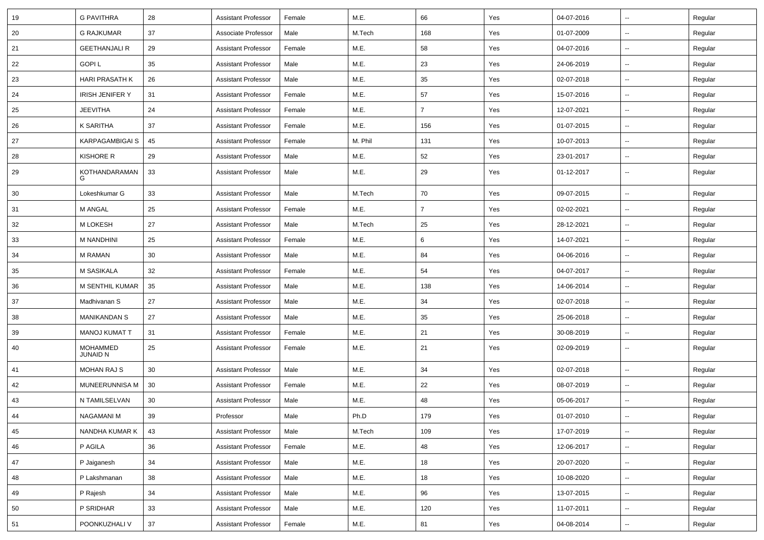| 19 | <b>G PAVITHRA</b>                  | 28 | <b>Assistant Professor</b> | Female | M.E.    | 66             | Yes | 04-07-2016 | $\overline{\phantom{a}}$ | Regular |
|----|------------------------------------|----|----------------------------|--------|---------|----------------|-----|------------|--------------------------|---------|
| 20 | <b>G RAJKUMAR</b>                  | 37 | Associate Professor        | Male   | M.Tech  | 168            | Yes | 01-07-2009 | $\sim$                   | Regular |
| 21 | <b>GEETHANJALI R</b>               | 29 | <b>Assistant Professor</b> | Female | M.E.    | 58             | Yes | 04-07-2016 | --                       | Regular |
| 22 | <b>GOPIL</b>                       | 35 | <b>Assistant Professor</b> | Male   | M.E.    | 23             | Yes | 24-06-2019 | $\overline{\phantom{a}}$ | Regular |
| 23 | <b>HARI PRASATH K</b>              | 26 | <b>Assistant Professor</b> | Male   | M.E.    | 35             | Yes | 02-07-2018 | $\overline{\phantom{a}}$ | Regular |
| 24 | <b>IRISH JENIFER Y</b>             | 31 | <b>Assistant Professor</b> | Female | M.E.    | 57             | Yes | 15-07-2016 | $\overline{\phantom{a}}$ | Regular |
| 25 | <b>JEEVITHA</b>                    | 24 | <b>Assistant Professor</b> | Female | M.E.    | $\overline{7}$ | Yes | 12-07-2021 | $\sim$                   | Regular |
| 26 | K SARITHA                          | 37 | <b>Assistant Professor</b> | Female | M.E.    | 156            | Yes | 01-07-2015 | $\sim$                   | Regular |
| 27 | <b>KARPAGAMBIGAI S</b>             | 45 | <b>Assistant Professor</b> | Female | M. Phil | 131            | Yes | 10-07-2013 | ⊷.                       | Regular |
| 28 | <b>KISHORE R</b>                   | 29 | <b>Assistant Professor</b> | Male   | M.E.    | 52             | Yes | 23-01-2017 | $\overline{\phantom{a}}$ | Regular |
| 29 | KOTHANDARAMAN<br>G                 | 33 | <b>Assistant Professor</b> | Male   | M.E.    | 29             | Yes | 01-12-2017 | $\overline{\phantom{a}}$ | Regular |
| 30 | Lokeshkumar G                      | 33 | <b>Assistant Professor</b> | Male   | M.Tech  | 70             | Yes | 09-07-2015 | $\overline{\phantom{a}}$ | Regular |
| 31 | <b>M ANGAL</b>                     | 25 | <b>Assistant Professor</b> | Female | M.E.    | $\overline{7}$ | Yes | 02-02-2021 | $\sim$                   | Regular |
| 32 | M LOKESH                           | 27 | <b>Assistant Professor</b> | Male   | M.Tech  | 25             | Yes | 28-12-2021 | $\sim$                   | Regular |
| 33 | M NANDHINI                         | 25 | <b>Assistant Professor</b> | Female | M.E.    | 6              | Yes | 14-07-2021 | $\sim$                   | Regular |
| 34 | M RAMAN                            | 30 | <b>Assistant Professor</b> | Male   | M.E.    | 84             | Yes | 04-06-2016 | --                       | Regular |
| 35 | M SASIKALA                         | 32 | <b>Assistant Professor</b> | Female | M.E.    | 54             | Yes | 04-07-2017 | $\overline{\phantom{a}}$ | Regular |
| 36 | M SENTHIL KUMAR                    | 35 | <b>Assistant Professor</b> | Male   | M.E.    | 138            | Yes | 14-06-2014 | $\overline{\phantom{a}}$ | Regular |
| 37 | Madhivanan S                       | 27 | <b>Assistant Professor</b> | Male   | M.E.    | 34             | Yes | 02-07-2018 | -−                       | Regular |
| 38 | <b>MANIKANDAN S</b>                | 27 | <b>Assistant Professor</b> | Male   | M.E.    | 35             | Yes | 25-06-2018 | $\sim$                   | Regular |
| 39 | <b>MANOJ KUMAT T</b>               | 31 | <b>Assistant Professor</b> | Female | M.E.    | 21             | Yes | 30-08-2019 | ⊷.                       | Regular |
| 40 | <b>MOHAMMED</b><br><b>JUNAID N</b> | 25 | <b>Assistant Professor</b> | Female | M.E.    | 21             | Yes | 02-09-2019 | ⊷.                       | Regular |
| 41 | <b>MOHAN RAJ S</b>                 | 30 | <b>Assistant Professor</b> | Male   | M.E.    | 34             | Yes | 02-07-2018 | н.                       | Regular |
| 42 | MUNEERUNNISA M                     | 30 | <b>Assistant Professor</b> | Female | M.E.    | 22             | Yes | 08-07-2019 | $\overline{\phantom{a}}$ | Regular |
| 43 | N TAMILSELVAN                      | 30 | <b>Assistant Professor</b> | Male   | M.E.    | 48             | Yes | 05-06-2017 | -−                       | Regular |
| 44 | NAGAMANI M                         | 39 | Professor                  | Male   | Ph.D    | 179            | Yes | 01-07-2010 |                          | Regular |
| 45 | NANDHA KUMAR K                     | 43 | <b>Assistant Professor</b> | Male   | M.Tech  | 109            | Yes | 17-07-2019 | $\overline{\phantom{a}}$ | Regular |
| 46 | P AGILA                            | 36 | <b>Assistant Professor</b> | Female | M.E.    | 48             | Yes | 12-06-2017 | $\sim$                   | Regular |
| 47 | P Jaiganesh                        | 34 | <b>Assistant Professor</b> | Male   | M.E.    | 18             | Yes | 20-07-2020 | $\sim$                   | Regular |
| 48 | P Lakshmanan                       | 38 | Assistant Professor        | Male   | M.E.    | 18             | Yes | 10-08-2020 | $\sim$                   | Regular |
| 49 | P Rajesh                           | 34 | <b>Assistant Professor</b> | Male   | M.E.    | 96             | Yes | 13-07-2015 | $\sim$                   | Regular |
| 50 | P SRIDHAR                          | 33 | <b>Assistant Professor</b> | Male   | M.E.    | 120            | Yes | 11-07-2011 | н.                       | Regular |
| 51 | POONKUZHALI V                      | 37 | <b>Assistant Professor</b> | Female | M.E.    | 81             | Yes | 04-08-2014 | $\sim$                   | Regular |